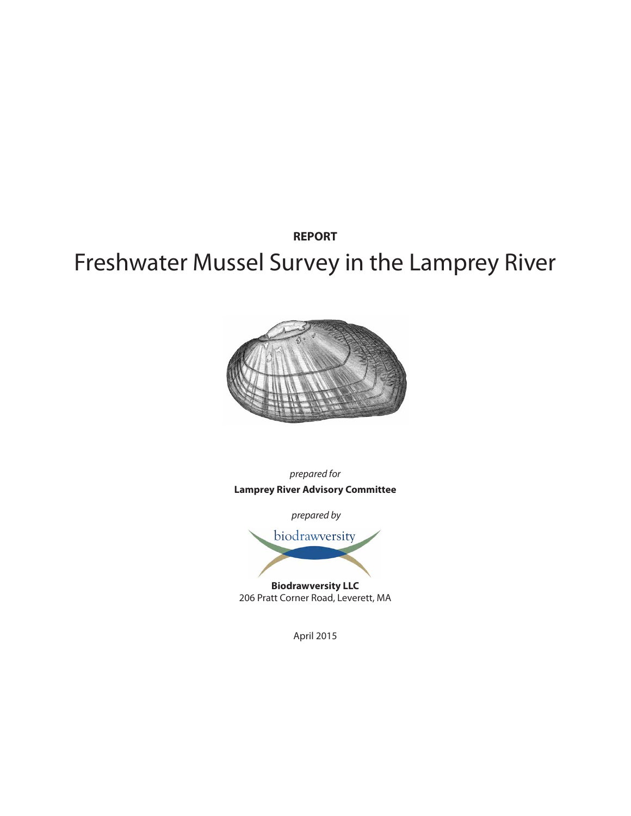**REPORT**

# Freshwater Mussel Survey in the Lamprey River



*prepared for* **Lamprey River Advisory Committee**

 *prepared by*



206 Pratt Corner Road, Leverett, MA

April 2015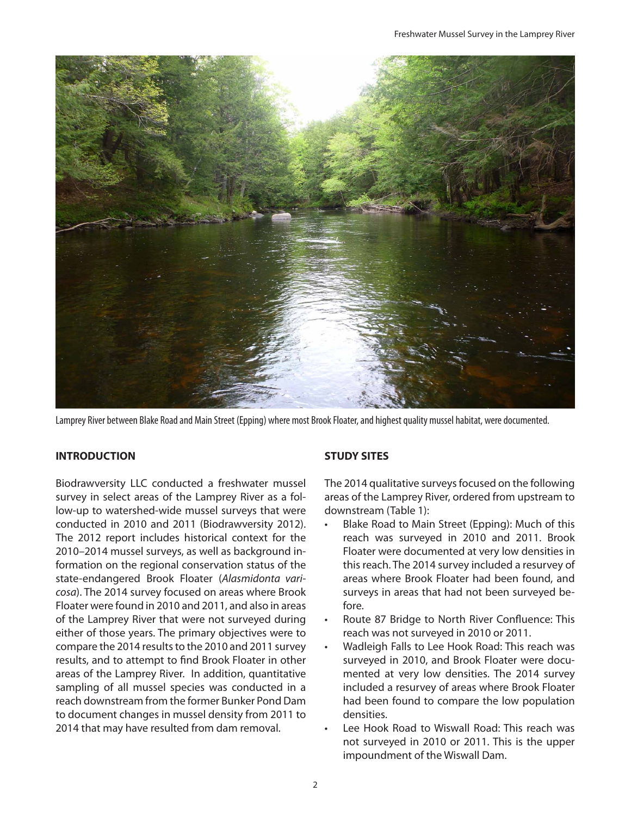

Lamprey River between Blake Road and Main Street (Epping) where most Brook Floater, and highest quality mussel habitat, were documented.

# **INTRODUCTION**

Biodrawversity LLC conducted a freshwater mussel survey in select areas of the Lamprey River as a follow-up to watershed-wide mussel surveys that were conducted in 2010 and 2011 (Biodrawversity 2012). The 2012 report includes historical context for the 2010–2014 mussel surveys, as well as background information on the regional conservation status of the state-endangered Brook Floater (*Alasmidonta varicosa*). The 2014 survey focused on areas where Brook Floater were found in 2010 and 2011, and also in areas of the Lamprey River that were not surveyed during either of those years. The primary objectives were to compare the 2014 results to the 2010 and 2011 survey results, and to attempt to find Brook Floater in other areas of the Lamprey River. In addition, quantitative sampling of all mussel species was conducted in a reach downstream from the former Bunker Pond Dam to document changes in mussel density from 2011 to 2014 that may have resulted from dam removal.

# **STUDY SITES**

The 2014 qualitative surveys focused on the following areas of the Lamprey River, ordered from upstream to downstream (Table 1):

- Blake Road to Main Street (Epping): Much of this reach was surveyed in 2010 and 2011. Brook Floater were documented at very low densities in this reach. The 2014 survey included a resurvey of areas where Brook Floater had been found, and surveys in areas that had not been surveyed before.
- Route 87 Bridge to North River Confluence: This reach was not surveyed in 2010 or 2011.
- Wadleigh Falls to Lee Hook Road: This reach was surveyed in 2010, and Brook Floater were documented at very low densities. The 2014 survey included a resurvey of areas where Brook Floater had been found to compare the low population densities.
- Lee Hook Road to Wiswall Road: This reach was not surveyed in 2010 or 2011. This is the upper impoundment of the Wiswall Dam.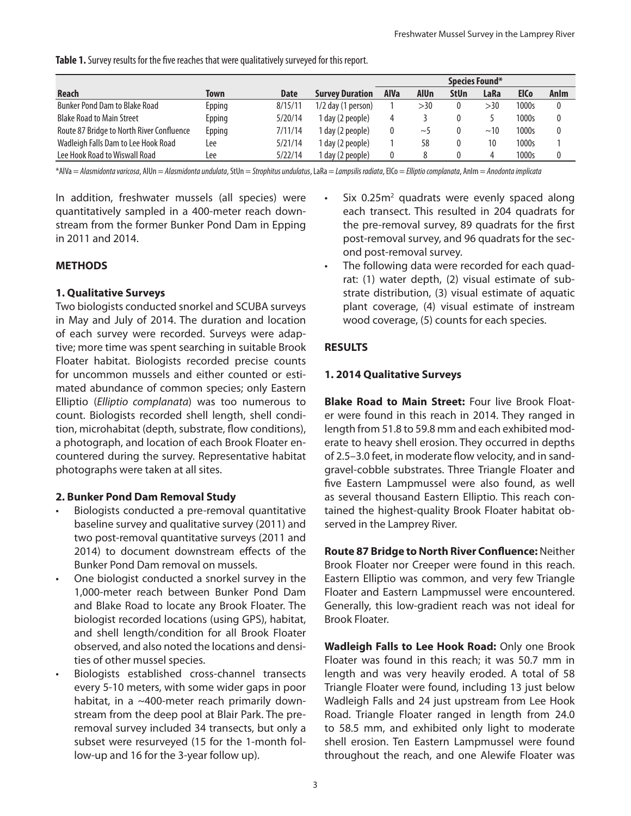**Table 1.** Survey results for the five reaches that were qualitatively surveyed for this report.

|                                           |        |             |                        | Species Found* |             |             |      |             |          |
|-------------------------------------------|--------|-------------|------------------------|----------------|-------------|-------------|------|-------------|----------|
| <b>Reach</b>                              | Town   | <b>Date</b> | <b>Survey Duration</b> | <b>AlVa</b>    | <b>AlUn</b> | <b>StUn</b> | LaRa | <b>ElCo</b> | Anlm     |
| <b>Bunker Pond Dam to Blake Road</b>      | Epping | 8/15/11     | $1/2$ day (1 person)   |                | >30         |             | >30  | 1000s       | 0        |
| <b>Blake Road to Main Street</b>          | Epping | 5/20/14     | 1 day (2 people)       | 4              |             |             |      | 1000s       | $\theta$ |
| Route 87 Bridge to North River Confluence | Epping | 7/11/14     | l day (2 people)       |                | $\sim$      |             | ~10  | 1000s       | $\theta$ |
| Wadleigh Falls Dam to Lee Hook Road       | Lee    | 5/21/14     | l day (2 people)       |                | 58          |             | 10   | 1000s       |          |
| Lee Hook Road to Wiswall Road             | Lee    | 5/22/14     | I day (2 people)       |                |             |             |      | 1000s       | 0        |

\*AlVa = *Alasmidonta varicosa*, AlUn = *Alasmidonta undulata*, StUn = *Strophitus undulatus*, LaRa = *Lampsilis radiata*, ElCo = *Elliptio complanata*, AnIm = *Anodonta implicata*

In addition, freshwater mussels (all species) were quantitatively sampled in a 400-meter reach downstream from the former Bunker Pond Dam in Epping in 2011 and 2014.

# **METHODS**

#### **1. Qualitative Surveys**

Two biologists conducted snorkel and SCUBA surveys in May and July of 2014. The duration and location of each survey were recorded. Surveys were adaptive; more time was spent searching in suitable Brook Floater habitat. Biologists recorded precise counts for uncommon mussels and either counted or estimated abundance of common species; only Eastern Elliptio (*Elliptio complanata*) was too numerous to count. Biologists recorded shell length, shell condition, microhabitat (depth, substrate, flow conditions), a photograph, and location of each Brook Floater encountered during the survey. Representative habitat photographs were taken at all sites.

#### **2. Bunker Pond Dam Removal Study**

- Biologists conducted a pre-removal quantitative baseline survey and qualitative survey (2011) and two post-removal quantitative surveys (2011 and 2014) to document downstream effects of the Bunker Pond Dam removal on mussels.
- One biologist conducted a snorkel survey in the 1,000-meter reach between Bunker Pond Dam and Blake Road to locate any Brook Floater. The biologist recorded locations (using GPS), habitat, and shell length/condition for all Brook Floater observed, and also noted the locations and densities of other mussel species.
- Biologists established cross-channel transects every 5-10 meters, with some wider gaps in poor habitat, in a ~400-meter reach primarily downstream from the deep pool at Blair Park. The preremoval survey included 34 transects, but only a subset were resurveyed (15 for the 1-month follow-up and 16 for the 3-year follow up).
- Six 0.25m<sup>2</sup> quadrats were evenly spaced along each transect. This resulted in 204 quadrats for the pre-removal survey, 89 quadrats for the first post-removal survey, and 96 quadrats for the second post-removal survey.
- The following data were recorded for each quadrat: (1) water depth, (2) visual estimate of substrate distribution, (3) visual estimate of aquatic plant coverage, (4) visual estimate of instream wood coverage, (5) counts for each species.

#### **RESULTS**

#### **1. 2014 Qualitative Surveys**

**Blake Road to Main Street:** Four live Brook Floater were found in this reach in 2014. They ranged in length from 51.8 to 59.8 mm and each exhibited moderate to heavy shell erosion. They occurred in depths of 2.5–3.0 feet, in moderate flow velocity, and in sandgravel-cobble substrates. Three Triangle Floater and five Eastern Lampmussel were also found, as well as several thousand Eastern Elliptio. This reach contained the highest-quality Brook Floater habitat observed in the Lamprey River.

**Route 87 Bridge to North River Confluence:** Neither Brook Floater nor Creeper were found in this reach. Eastern Elliptio was common, and very few Triangle Floater and Eastern Lampmussel were encountered. Generally, this low-gradient reach was not ideal for Brook Floater.

**Wadleigh Falls to Lee Hook Road:** Only one Brook Floater was found in this reach; it was 50.7 mm in length and was very heavily eroded. A total of 58 Triangle Floater were found, including 13 just below Wadleigh Falls and 24 just upstream from Lee Hook Road. Triangle Floater ranged in length from 24.0 to 58.5 mm, and exhibited only light to moderate shell erosion. Ten Eastern Lampmussel were found throughout the reach, and one Alewife Floater was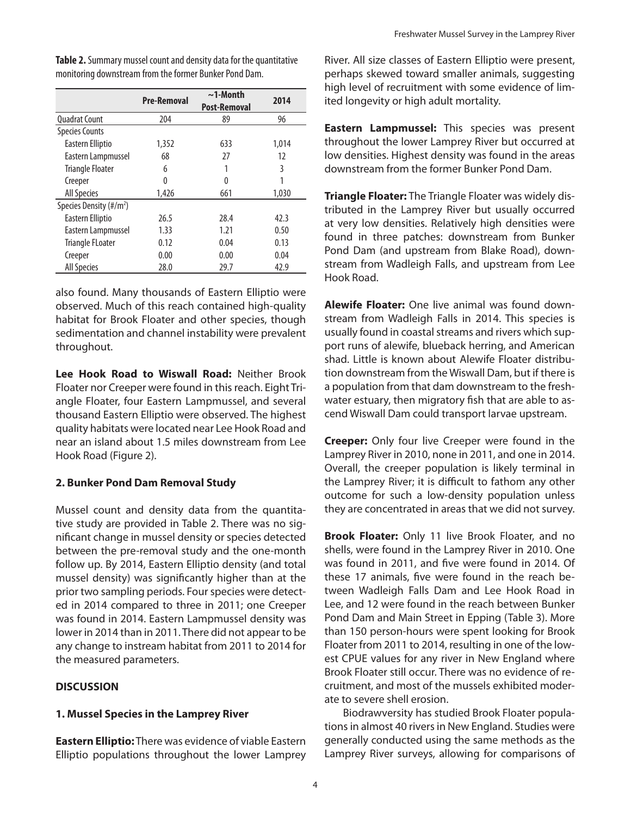|                                     | <b>Pre-Removal</b> | $\sim$ 1-Month      | 2014  |  |
|-------------------------------------|--------------------|---------------------|-------|--|
|                                     |                    | <b>Post-Removal</b> |       |  |
| <b>Quadrat Count</b>                | 204                | 89                  | 96    |  |
| <b>Species Counts</b>               |                    |                     |       |  |
| Eastern Elliptio                    | 1,352              | 633                 | 1,014 |  |
| Eastern Lampmussel                  | 68                 | 27                  | 12    |  |
| <b>Triangle Floater</b>             | 6                  |                     | 3     |  |
| Creeper                             | 0                  | 0                   |       |  |
| <b>All Species</b>                  | 1,426              | 661                 | 1,030 |  |
| Species Density (#/m <sup>2</sup> ) |                    |                     |       |  |
| Eastern Elliptio                    | 26.5               | 28.4                | 42.3  |  |
| Eastern Lampmussel                  | 1.33               | 1.21                | 0.50  |  |
| <b>Triangle FLoater</b>             | 0.12               | 0.04                | 0.13  |  |
| Creeper                             | 0.00               | 0.00                | 0.04  |  |
| <b>All Species</b>                  | 28.0               | 29.7                | 42.9  |  |

**Table 2.** Summary mussel count and density data for the quantitative monitoring downstream from the former Bunker Pond Dam.

also found. Many thousands of Eastern Elliptio were observed. Much of this reach contained high-quality habitat for Brook Floater and other species, though sedimentation and channel instability were prevalent throughout.

**Lee Hook Road to Wiswall Road:** Neither Brook Floater nor Creeper were found in this reach. Eight Triangle Floater, four Eastern Lampmussel, and several thousand Eastern Elliptio were observed. The highest quality habitats were located near Lee Hook Road and near an island about 1.5 miles downstream from Lee Hook Road (Figure 2).

# **2. Bunker Pond Dam Removal Study**

Mussel count and density data from the quantitative study are provided in Table 2. There was no significant change in mussel density or species detected between the pre-removal study and the one-month follow up. By 2014, Eastern Elliptio density (and total mussel density) was significantly higher than at the prior two sampling periods. Four species were detected in 2014 compared to three in 2011; one Creeper was found in 2014. Eastern Lampmussel density was lower in 2014 than in 2011. There did not appear to be any change to instream habitat from 2011 to 2014 for the measured parameters.

# **DISCUSSION**

# **1. Mussel Species in the Lamprey River**

**Eastern Elliptio:** There was evidence of viable Eastern Elliptio populations throughout the lower Lamprey River. All size classes of Eastern Elliptio were present, perhaps skewed toward smaller animals, suggesting high level of recruitment with some evidence of limited longevity or high adult mortality.

**Eastern Lampmussel:** This species was present throughout the lower Lamprey River but occurred at low densities. Highest density was found in the areas downstream from the former Bunker Pond Dam.

**Triangle Floater:** The Triangle Floater was widely distributed in the Lamprey River but usually occurred at very low densities. Relatively high densities were found in three patches: downstream from Bunker Pond Dam (and upstream from Blake Road), downstream from Wadleigh Falls, and upstream from Lee Hook Road.

**Alewife Floater:** One live animal was found downstream from Wadleigh Falls in 2014. This species is usually found in coastal streams and rivers which support runs of alewife, blueback herring, and American shad. Little is known about Alewife Floater distribution downstream from the Wiswall Dam, but if there is a population from that dam downstream to the freshwater estuary, then migratory fish that are able to ascend Wiswall Dam could transport larvae upstream.

**Creeper:** Only four live Creeper were found in the Lamprey River in 2010, none in 2011, and one in 2014. Overall, the creeper population is likely terminal in the Lamprey River; it is difficult to fathom any other outcome for such a low-density population unless they are concentrated in areas that we did not survey.

**Brook Floater:** Only 11 live Brook Floater, and no shells, were found in the Lamprey River in 2010. One was found in 2011, and five were found in 2014. Of these 17 animals, five were found in the reach between Wadleigh Falls Dam and Lee Hook Road in Lee, and 12 were found in the reach between Bunker Pond Dam and Main Street in Epping (Table 3). More than 150 person-hours were spent looking for Brook Floater from 2011 to 2014, resulting in one of the lowest CPUE values for any river in New England where Brook Floater still occur. There was no evidence of recruitment, and most of the mussels exhibited moderate to severe shell erosion.

Biodrawversity has studied Brook Floater populations in almost 40 rivers in New England. Studies were generally conducted using the same methods as the Lamprey River surveys, allowing for comparisons of